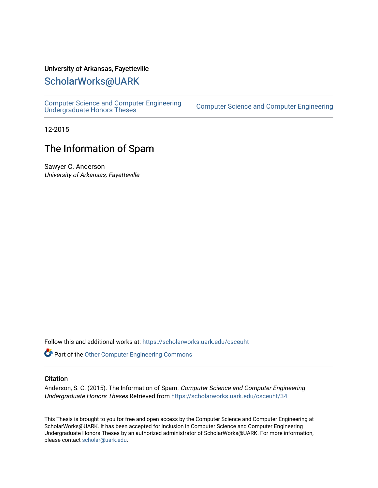#### University of Arkansas, Fayetteville

#### [ScholarWorks@UARK](https://scholarworks.uark.edu/)

[Computer Science and Computer Engineering](https://scholarworks.uark.edu/csceuht) 

Computer Science and Computer Engineering

12-2015

### The Information of Spam

Sawyer C. Anderson University of Arkansas, Fayetteville

Follow this and additional works at: [https://scholarworks.uark.edu/csceuht](https://scholarworks.uark.edu/csceuht?utm_source=scholarworks.uark.edu%2Fcsceuht%2F34&utm_medium=PDF&utm_campaign=PDFCoverPages)

**Part of the [Other Computer Engineering Commons](http://network.bepress.com/hgg/discipline/265?utm_source=scholarworks.uark.edu%2Fcsceuht%2F34&utm_medium=PDF&utm_campaign=PDFCoverPages)** 

#### **Citation**

Anderson, S. C. (2015). The Information of Spam. Computer Science and Computer Engineering Undergraduate Honors Theses Retrieved from [https://scholarworks.uark.edu/csceuht/34](https://scholarworks.uark.edu/csceuht/34?utm_source=scholarworks.uark.edu%2Fcsceuht%2F34&utm_medium=PDF&utm_campaign=PDFCoverPages) 

This Thesis is brought to you for free and open access by the Computer Science and Computer Engineering at ScholarWorks@UARK. It has been accepted for inclusion in Computer Science and Computer Engineering Undergraduate Honors Theses by an authorized administrator of ScholarWorks@UARK. For more information, please contact [scholar@uark.edu](mailto:scholar@uark.edu).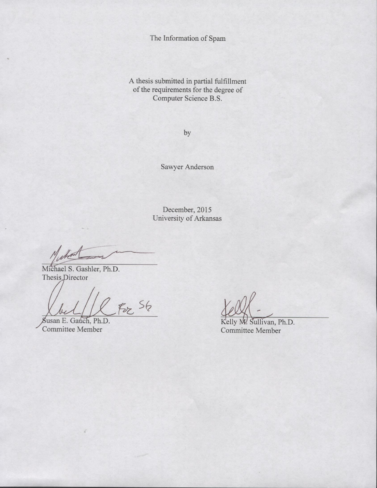The Information of Spam

A thesis submitted in partial fulfillment of the requirements for the degree of Computer Science B.S.

by

Sawyer Anderson

December, 2015 University of Arkansas

Michael S. Gashler, Ph.D. Thesis Director

 $f_{\nu}$   $S_{6}$ 

Susan E. Gauch, Ph.D. Committee Member

Kelly M. Sullivan, Ph.D. Committee Member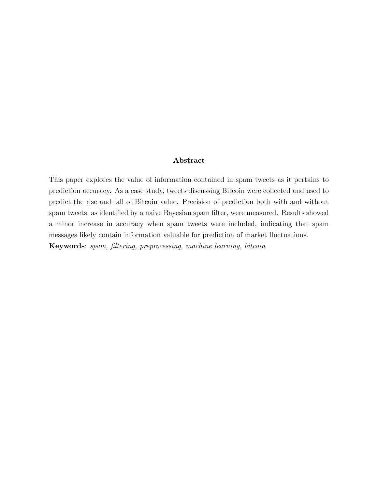#### Abstract

This paper explores the value of information contained in spam tweets as it pertains to prediction accuracy. As a case study, tweets discussing Bitcoin were collected and used to predict the rise and fall of Bitcoin value. Precision of prediction both with and without spam tweets, as identified by a naive Bayesian spam filter, were measured. Results showed a minor increase in accuracy when spam tweets were included, indicating that spam messages likely contain information valuable for prediction of market fluctuations. Keywords: spam, filtering, preprocessing, machine learning, bitcoin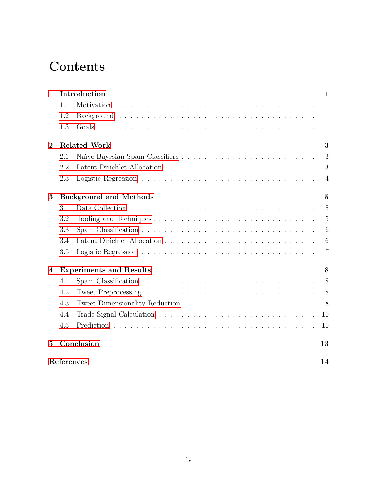# **Contents**

| $\mathbf{1}$     | Introduction                        |                                                                                                |                |  |  |
|------------------|-------------------------------------|------------------------------------------------------------------------------------------------|----------------|--|--|
|                  | 1.1                                 |                                                                                                | 1              |  |  |
|                  | 1.2                                 |                                                                                                | 1              |  |  |
|                  | 1.3                                 |                                                                                                | 1              |  |  |
| $\overline{2}$   | <b>Related Work</b><br>3            |                                                                                                |                |  |  |
|                  | 2.1                                 |                                                                                                | 3              |  |  |
|                  | 2.2                                 |                                                                                                | 3              |  |  |
|                  | 2.3                                 |                                                                                                | $\overline{4}$ |  |  |
| 3                | <b>Background and Methods</b><br>5  |                                                                                                |                |  |  |
|                  | 3.1                                 |                                                                                                | 5              |  |  |
|                  | 3.2                                 | Tooling and Techniques $\ldots \ldots \ldots \ldots \ldots \ldots \ldots \ldots \ldots \ldots$ | 5              |  |  |
|                  | 3.3                                 |                                                                                                | 6              |  |  |
|                  | 3.4                                 |                                                                                                | 6              |  |  |
|                  | 3.5                                 |                                                                                                | 7              |  |  |
| $\boldsymbol{4}$ | <b>Experiments and Results</b><br>8 |                                                                                                |                |  |  |
|                  | 4.1                                 |                                                                                                | 8              |  |  |
|                  | 4.2                                 |                                                                                                | 8              |  |  |
|                  | 4.3                                 |                                                                                                | 8              |  |  |
|                  | 4.4                                 |                                                                                                | 10             |  |  |
|                  | 4.5                                 |                                                                                                | 10             |  |  |
| $\overline{5}$   |                                     | Conclusion                                                                                     | 13             |  |  |
|                  | References                          |                                                                                                | 14             |  |  |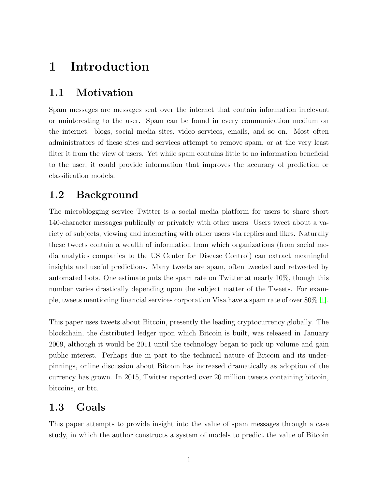# <span id="page-4-0"></span>1 Introduction

### <span id="page-4-1"></span>1.1 Motivation

Spam messages are messages sent over the internet that contain information irrelevant or uninteresting to the user. Spam can be found in every communication medium on the internet: blogs, social media sites, video services, emails, and so on. Most often administrators of these sites and services attempt to remove spam, or at the very least filter it from the view of users. Yet while spam contains little to no information beneficial to the user, it could provide information that improves the accuracy of prediction or classification models.

## <span id="page-4-2"></span>1.2 Background

The microblogging service Twitter is a social media platform for users to share short 140-character messages publically or privately with other users. Users tweet about a variety of subjects, viewing and interacting with other users via replies and likes. Naturally these tweets contain a wealth of information from which organizations (from social media analytics companies to the US Center for Disease Control) can extract meaningful insights and useful predictions. Many tweets are spam, often tweeted and retweeted by automated bots. One estimate puts the spam rate on Twitter at nearly 10%, though this number varies drastically depending upon the subject matter of the Tweets. For example, tweets mentioning financial services corporation Visa have a spam rate of over 80% [\[1\]](#page-17-0).

This paper uses tweets about Bitcoin, presently the leading cryptocurrency globally. The blockchain, the distributed ledger upon which Bitcoin is built, was released in January 2009, although it would be 2011 until the technology began to pick up volume and gain public interest. Perhaps due in part to the technical nature of Bitcoin and its underpinnings, online discussion about Bitcoin has increased dramatically as adoption of the currency has grown. In 2015, Twitter reported over 20 million tweets containing bitcoin, bitcoins, or btc.

### <span id="page-4-3"></span>1.3 Goals

This paper attempts to provide insight into the value of spam messages through a case study, in which the author constructs a system of models to predict the value of Bitcoin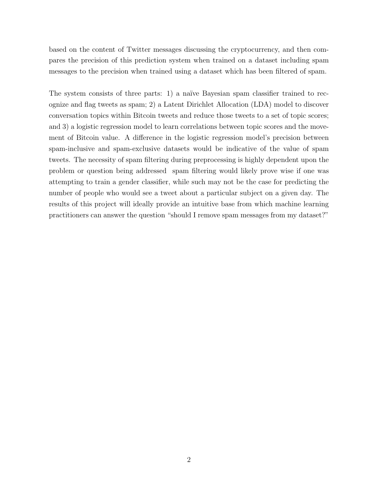based on the content of Twitter messages discussing the cryptocurrency, and then compares the precision of this prediction system when trained on a dataset including spam messages to the precision when trained using a dataset which has been filtered of spam.

The system consists of three parts: 1) a naïve Bayesian spam classifier trained to recognize and flag tweets as spam; 2) a Latent Dirichlet Allocation (LDA) model to discover conversation topics within Bitcoin tweets and reduce those tweets to a set of topic scores; and 3) a logistic regression model to learn correlations between topic scores and the movement of Bitcoin value. A difference in the logistic regression model's precision between spam-inclusive and spam-exclusive datasets would be indicative of the value of spam tweets. The necessity of spam filtering during preprocessing is highly dependent upon the problem or question being addressed spam filtering would likely prove wise if one was attempting to train a gender classifier, while such may not be the case for predicting the number of people who would see a tweet about a particular subject on a given day. The results of this project will ideally provide an intuitive base from which machine learning practitioners can answer the question "should I remove spam messages from my dataset?"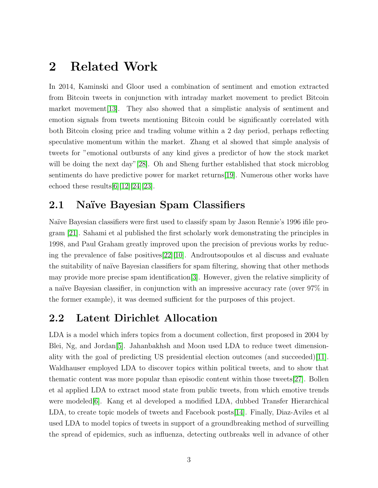# <span id="page-6-0"></span>2 Related Work

In 2014, Kaminski and Gloor used a combination of sentiment and emotion extracted from Bitcoin tweets in conjunction with intraday market movement to predict Bitcoin market movement[\[13\]](#page-17-1). They also showed that a simplistic analysis of sentiment and emotion signals from tweets mentioning Bitcoin could be significantly correlated with both Bitcoin closing price and trading volume within a 2 day period, perhaps reflecting speculative momentum within the market. Zhang et al showed that simple analysis of tweets for "emotional outbursts of any kind gives a predictor of how the stock market will be doing the next day"[\[28\]](#page-18-0). Oh and Sheng further established that stock microblog sentiments do have predictive power for market returns[\[19\]](#page-18-1). Numerous other works have echoed these results[\[6\]](#page-17-2)[\[12\]](#page-17-3)[\[24\]](#page-18-2)[\[23\]](#page-18-3).

### <span id="page-6-1"></span>2.1 Naïve Bayesian Spam Classifiers

Na¨ıve Bayesian classifiers were first used to classify spam by Jason Rennie's 1996 ifile program [\[21\]](#page-18-4). Sahami et al published the first scholarly work demonstrating the principles in 1998, and Paul Graham greatly improved upon the precision of previous works by reducing the prevalence of false positives[\[22\]](#page-18-5)[\[10\]](#page-17-4). Androutsopoulos et al discuss and evaluate the suitability of na¨ıve Bayesian classifiers for spam filtering, showing that other methods may provide more precise spam identification[\[3\]](#page-17-5). However, given the relative simplicity of a naïve Bayesian classifier, in conjunction with an impressive accuracy rate (over  $97\%$  in the former example), it was deemed sufficient for the purposes of this project.

### <span id="page-6-2"></span>2.2 Latent Dirichlet Allocation

LDA is a model which infers topics from a document collection, first proposed in 2004 by Blei, Ng, and Jordan[\[5\]](#page-17-6). Jahanbakhsh and Moon used LDA to reduce tweet dimensionality with the goal of predicting US presidential election outcomes (and succeeded)[\[11\]](#page-17-7). Waldhauser employed LDA to discover topics within political tweets, and to show that thematic content was more popular than episodic content within those tweets[\[27\]](#page-18-6). Bollen et al applied LDA to extract mood state from public tweets, from which emotive trends were modeled<sup>[\[6\]](#page-17-2)</sup>. Kang et al developed a modified LDA, dubbed Transfer Hierarchical LDA, to create topic models of tweets and Facebook posts[\[14\]](#page-17-8). Finally, Diaz-Aviles et al used LDA to model topics of tweets in support of a groundbreaking method of surveilling the spread of epidemics, such as influenza, detecting outbreaks well in advance of other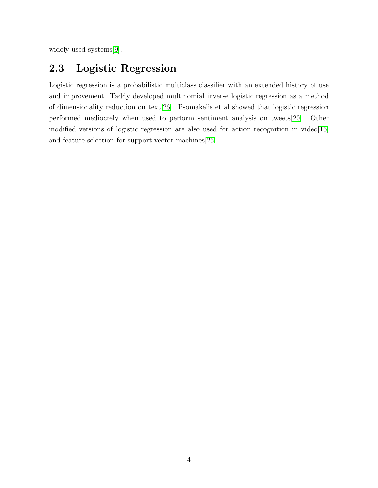widely-used systems[\[9\]](#page-17-9).

# <span id="page-7-0"></span>2.3 Logistic Regression

Logistic regression is a probabilistic multiclass classifier with an extended history of use and improvement. Taddy developed multinomial inverse logistic regression as a method of dimensionality reduction on text[\[26\]](#page-18-7). Psomakelis et al showed that logistic regression performed mediocrely when used to perform sentiment analysis on tweets[\[20\]](#page-18-8). Other modified versions of logistic regression are also used for action recognition in video[\[15\]](#page-17-10) and feature selection for support vector machines[\[25\]](#page-18-9).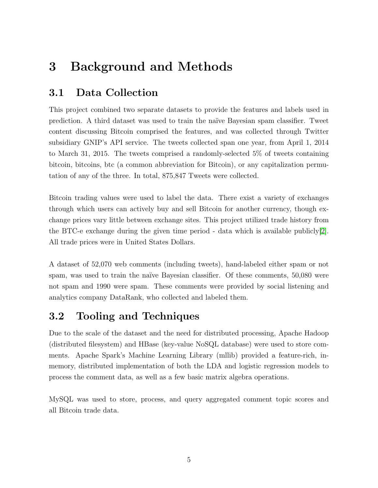# <span id="page-8-0"></span>3 Background and Methods

## <span id="page-8-1"></span>3.1 Data Collection

This project combined two separate datasets to provide the features and labels used in prediction. A third dataset was used to train the na¨ıve Bayesian spam classifier. Tweet content discussing Bitcoin comprised the features, and was collected through Twitter subsidiary GNIP's API service. The tweets collected span one year, from April 1, 2014 to March 31, 2015. The tweets comprised a randomly-selected 5% of tweets containing bitcoin, bitcoins, btc (a common abbreviation for Bitcoin), or any capitalization permutation of any of the three. In total, 875,847 Tweets were collected.

Bitcoin trading values were used to label the data. There exist a variety of exchanges through which users can actively buy and sell Bitcoin for another currency, though exchange prices vary little between exchange sites. This project utilized trade history from the BTC-e exchange during the given time period - data which is available publicly[\[2\]](#page-17-11). All trade prices were in United States Dollars.

A dataset of 52,070 web comments (including tweets), hand-labeled either spam or not spam, was used to train the naïve Bayesian classifier. Of these comments, 50,080 were not spam and 1990 were spam. These comments were provided by social listening and analytics company DataRank, who collected and labeled them.

## <span id="page-8-2"></span>3.2 Tooling and Techniques

Due to the scale of the dataset and the need for distributed processing, Apache Hadoop (distributed filesystem) and HBase (key-value NoSQL database) were used to store comments. Apache Spark's Machine Learning Library (mllib) provided a feature-rich, inmemory, distributed implementation of both the LDA and logistic regression models to process the comment data, as well as a few basic matrix algebra operations.

MySQL was used to store, process, and query aggregated comment topic scores and all Bitcoin trade data.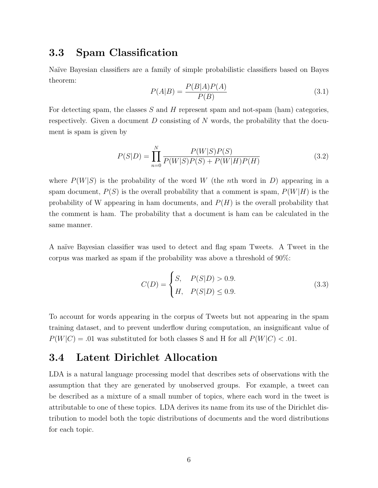#### <span id="page-9-0"></span>3.3 Spam Classification

Na¨ıve Bayesian classifiers are a family of simple probabilistic classifiers based on Bayes theorem:

$$
P(A|B) = \frac{P(B|A)P(A)}{P(B)}\tag{3.1}
$$

For detecting spam, the classes  $S$  and  $H$  represent spam and not-spam (ham) categories, respectively. Given a document  $D$  consisting of  $N$  words, the probability that the document is spam is given by

$$
P(S|D) = \prod_{n=0}^{N} \frac{P(W|S)P(S)}{P(W|S)P(S) + P(W|H)P(H)}
$$
(3.2)

where  $P(W|S)$  is the probability of the word W (the nth word in D) appearing in a spam document,  $P(S)$  is the overall probability that a comment is spam,  $P(W|H)$  is the probability of W appearing in ham documents, and  $P(H)$  is the overall probability that the comment is ham. The probability that a document is ham can be calculated in the same manner.

A na¨ıve Bayesian classifier was used to detect and flag spam Tweets. A Tweet in the corpus was marked as spam if the probability was above a threshold of 90%:

$$
C(D) = \begin{cases} S, & P(S|D) > 0.9. \\ H, & P(S|D) \le 0.9. \end{cases}
$$
 (3.3)

To account for words appearing in the corpus of Tweets but not appearing in the spam training dataset, and to prevent underflow during computation, an insignificant value of  $P(W|C) = 0.01$  was substituted for both classes S and H for all  $P(W|C) < 0.01$ .

#### <span id="page-9-1"></span>3.4 Latent Dirichlet Allocation

LDA is a natural language processing model that describes sets of observations with the assumption that they are generated by unobserved groups. For example, a tweet can be described as a mixture of a small number of topics, where each word in the tweet is attributable to one of these topics. LDA derives its name from its use of the Dirichlet distribution to model both the topic distributions of documents and the word distributions for each topic.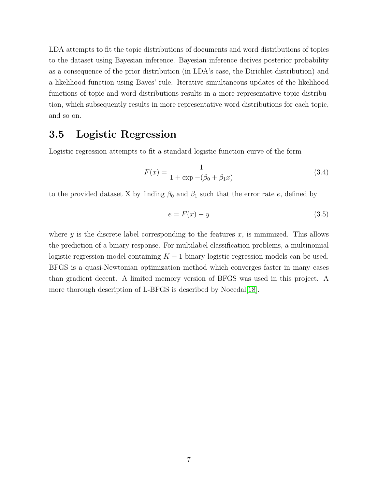LDA attempts to fit the topic distributions of documents and word distributions of topics to the dataset using Bayesian inference. Bayesian inference derives posterior probability as a consequence of the prior distribution (in LDA's case, the Dirichlet distribution) and a likelihood function using Bayes' rule. Iterative simultaneous updates of the likelihood functions of topic and word distributions results in a more representative topic distribution, which subsequently results in more representative word distributions for each topic, and so on.

### <span id="page-10-0"></span>3.5 Logistic Regression

Logistic regression attempts to fit a standard logistic function curve of the form

$$
F(x) = \frac{1}{1 + \exp(-(\beta_0 + \beta_1 x))}
$$
\n(3.4)

to the provided dataset X by finding  $\beta_0$  and  $\beta_1$  such that the error rate e, defined by

$$
e = F(x) - y \tag{3.5}
$$

where y is the discrete label corresponding to the features  $x$ , is minimized. This allows the prediction of a binary response. For multilabel classification problems, a multinomial logistic regression model containing  $K - 1$  binary logistic regression models can be used. BFGS is a quasi-Newtonian optimization method which converges faster in many cases than gradient decent. A limited memory version of BFGS was used in this project. A more thorough description of L-BFGS is described by Nocedal<sup>[\[18\]](#page-18-10)</sup>.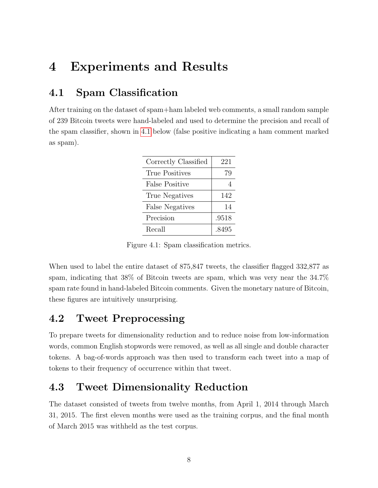# <span id="page-11-0"></span>4 Experiments and Results

### <span id="page-11-1"></span>4.1 Spam Classification

After training on the dataset of spam+ham labeled web comments, a small random sample of 239 Bitcoin tweets were hand-labeled and used to determine the precision and recall of the spam classifier, shown in [4.1](#page-11-4) below (false positive indicating a ham comment marked as spam).

| Correctly Classified   | 221   |
|------------------------|-------|
| True Positives         | 79    |
| False Positive         |       |
| True Negatives         | 142   |
| <b>False Negatives</b> | 14    |
| Precision              | .9518 |
| Recall                 | .8495 |

<span id="page-11-4"></span>Figure 4.1: Spam classification metrics.

When used to label the entire dataset of 875,847 tweets, the classifier flagged 332,877 as spam, indicating that 38% of Bitcoin tweets are spam, which was very near the 34.7% spam rate found in hand-labeled Bitcoin comments. Given the monetary nature of Bitcoin, these figures are intuitively unsurprising.

### <span id="page-11-2"></span>4.2 Tweet Preprocessing

To prepare tweets for dimensionality reduction and to reduce noise from low-information words, common English stopwords were removed, as well as all single and double character tokens. A bag-of-words approach was then used to transform each tweet into a map of tokens to their frequency of occurrence within that tweet.

### <span id="page-11-3"></span>4.3 Tweet Dimensionality Reduction

The dataset consisted of tweets from twelve months, from April 1, 2014 through March 31, 2015. The first eleven months were used as the training corpus, and the final month of March 2015 was withheld as the test corpus.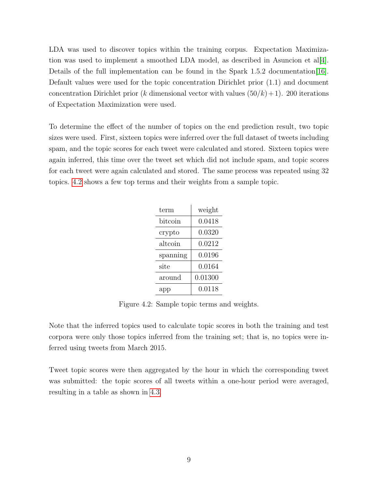LDA was used to discover topics within the training corpus. Expectation Maximization was used to implement a smoothed LDA model, as described in Asuncion et al[\[4\]](#page-17-12). Details of the full implementation can be found in the Spark 1.5.2 documentation [\[16\]](#page-18-11). Default values were used for the topic concentration Dirichlet prior (1.1) and document concentration Dirichlet prior (k dimensional vector with values  $(50/k) + 1$ ). 200 iterations of Expectation Maximization were used.

To determine the effect of the number of topics on the end prediction result, two topic sizes were used. First, sixteen topics were inferred over the full dataset of tweets including spam, and the topic scores for each tweet were calculated and stored. Sixteen topics were again inferred, this time over the tweet set which did not include spam, and topic scores for each tweet were again calculated and stored. The same process was repeated using 32 topics. [4.2](#page-12-0) shows a few top terms and their weights from a sample topic.

| term     | weight  |
|----------|---------|
| bitcoin  | 0.0418  |
| crypto   | 0.0320  |
| altcoin  | 0.0212  |
| spanning | 0.0196  |
| site     | 0.0164  |
| around   | 0.01300 |
| app      | 0.0118  |

<span id="page-12-0"></span>Figure 4.2: Sample topic terms and weights.

Note that the inferred topics used to calculate topic scores in both the training and test corpora were only those topics inferred from the training set; that is, no topics were inferred using tweets from March 2015.

Tweet topic scores were then aggregated by the hour in which the corresponding tweet was submitted: the topic scores of all tweets within a one-hour period were averaged, resulting in a table as shown in [4.3.](#page-13-2)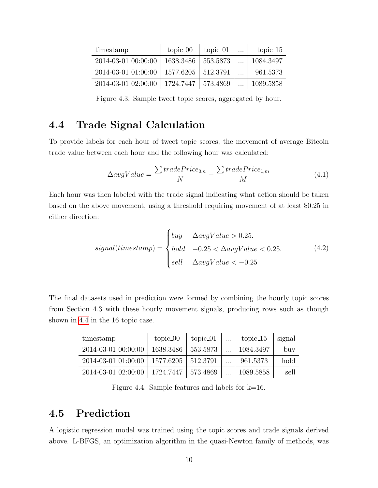| timestamp           | $topic_0$ | $topic_01$    | $\cdots$ | $topic_15$ |
|---------------------|-----------|---------------|----------|------------|
| 2014-03-01 00:00:00 | 1638.3486 | 553.5873      |          | 1084.3497  |
| 2014-03-01 01:00:00 | 1577.6205 | 512.3791      |          | 961.5373   |
| 2014-03-01 02:00:00 | 1724.7447 | $1\,573.4869$ |          | 1089.5858  |

<span id="page-13-2"></span>Figure 4.3: Sample tweet topic scores, aggregated by hour.

### <span id="page-13-0"></span>4.4 Trade Signal Calculation

To provide labels for each hour of tweet topic scores, the movement of average Bitcoin trade value between each hour and the following hour was calculated:

$$
\Delta avgValue = \frac{\sum tradePrice_{0,n}}{N} - \frac{\sum tradePrice_{1,m}}{M}
$$
\n(4.1)

Each hour was then labeled with the trade signal indicating what action should be taken based on the above movement, using a threshold requiring movement of at least \$0.25 in either direction:

$$
signal(timestamp) = \begin{cases} buy & \Delta avgValue > 0.25. \\ hold & -0.25 < \Delta avgValue < 0.25. \\ sell & \Delta avgValue < -0.25 \end{cases}
$$
(4.2)

The final datasets used in prediction were formed by combining the hourly topic scores from Section 4.3 with these hourly movement signals, producing rows such as though shown in [4.4](#page-13-3) in the 16 topic case.

| timestamp           | $topic_0$            | topic_01 | topic_15  | signal |
|---------------------|----------------------|----------|-----------|--------|
| 2014-03-01 00:00:00 | 1638.3486            | 553.5873 | 1084.3497 | buy    |
| 2014-03-01 01:00:00 | 1577.6205            | 512.3791 | 961.5373  | hold   |
| 2014-03-01 02:00:00 | 1724.7447   573.4869 |          | 1089.5858 | sell   |

<span id="page-13-3"></span>Figure 4.4: Sample features and labels for k=16.

#### <span id="page-13-1"></span>4.5 Prediction

A logistic regression model was trained using the topic scores and trade signals derived above. L-BFGS, an optimization algorithm in the quasi-Newton family of methods, was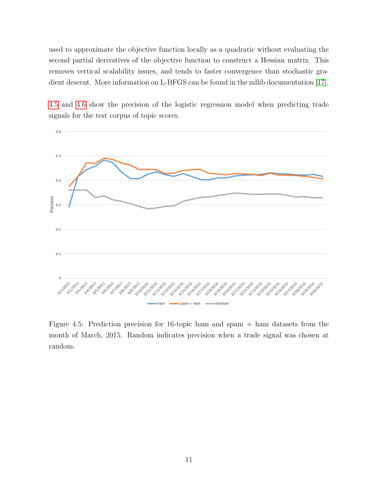used to approximate the objective function locally as a quadratic without evaluating the second partial derivatives of the objective function to construct a Hessian matrix. This removes vertical scalability issues, and tends to faster convergence than stochastic gradient descent. More information on L-BFGS can be found in the mllib documentation [\[17\]](#page-18-12).



[4.5](#page-14-0) and [4.6](#page-15-0) show the precision of the logistic regression model when predicting trade signals for the test corpus of topic scores.

<span id="page-14-0"></span>Figure 4.5: Prediction precision for 16-topic ham and spam + ham datasets from the month of March, 2015. Random indicates precision when a trade signal was chosen at random.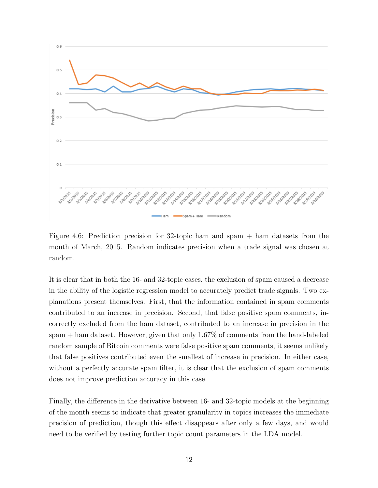

<span id="page-15-0"></span>Figure 4.6: Prediction precision for 32-topic ham and spam + ham datasets from the month of March, 2015. Random indicates precision when a trade signal was chosen at random.

It is clear that in both the 16- and 32-topic cases, the exclusion of spam caused a decrease in the ability of the logistic regression model to accurately predict trade signals. Two explanations present themselves. First, that the information contained in spam comments contributed to an increase in precision. Second, that false positive spam comments, incorrectly excluded from the ham dataset, contributed to an increase in precision in the spam + ham dataset. However, given that only 1.67% of comments from the hand-labeled random sample of Bitcoin comments were false positive spam comments, it seems unlikely that false positives contributed even the smallest of increase in precision. In either case, without a perfectly accurate spam filter, it is clear that the exclusion of spam comments does not improve prediction accuracy in this case.

Finally, the difference in the derivative between 16- and 32-topic models at the beginning of the month seems to indicate that greater granularity in topics increases the immediate precision of prediction, though this effect disappears after only a few days, and would need to be verified by testing further topic count parameters in the LDA model.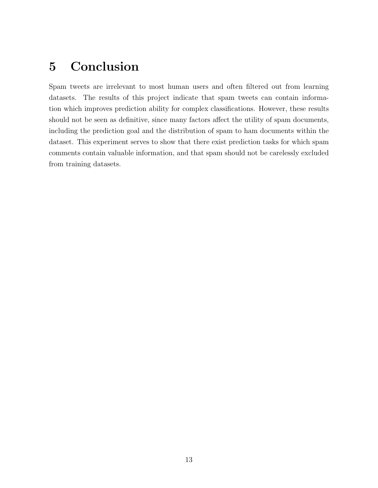# <span id="page-16-0"></span>5 Conclusion

Spam tweets are irrelevant to most human users and often filtered out from learning datasets. The results of this project indicate that spam tweets can contain information which improves prediction ability for complex classifications. However, these results should not be seen as definitive, since many factors affect the utility of spam documents, including the prediction goal and the distribution of spam to ham documents within the dataset. This experiment serves to show that there exist prediction tasks for which spam comments contain valuable information, and that spam should not be carelessly excluded from training datasets.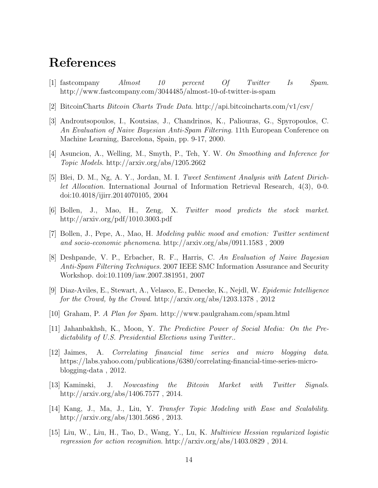# References

- <span id="page-17-0"></span>[1] fastcompany Almost 10 percent Of Twitter Is Spam. http://www.fastcompany.com/3044485/almost-10-of-twitter-is-spam
- <span id="page-17-11"></span>[2] BitcoinCharts Bitcoin Charts Trade Data. http://api.bitcoincharts.com/v1/csv/
- <span id="page-17-5"></span>[3] Androutsopoulos, I., Koutsias, J., Chandrinos, K., Paliouras, G., Spyropoulos, C. An Evaluation of Naive Bayesian Anti-Spam Filtering. 11th European Conference on Machine Learning, Barcelona, Spain, pp. 9-17, 2000.
- <span id="page-17-12"></span>[4] Asuncion, A., Welling, M., Smyth, P., Teh, Y. W. On Smoothing and Inference for Topic Models. http://arxiv.org/abs/1205.2662
- <span id="page-17-6"></span>[5] Blei, D. M., Ng, A. Y., Jordan, M. I. Tweet Sentiment Analysis with Latent Dirichlet Allocation. International Journal of Information Retrieval Research, 4(3), 0-0. doi:10.4018/ijirr.2014070105, 2004
- <span id="page-17-2"></span>[6] Bollen, J., Mao, H., Zeng, X. Twitter mood predicts the stock market. http://arxiv.org/pdf/1010.3003.pdf
- [7] Bollen, J., Pepe, A., Mao, H. Modeling public mood and emotion: Twitter sentiment and socio-economic phenomena. http://arxiv.org/abs/0911.1583 , 2009
- [8] Deshpande, V. P., Erbacher, R. F., Harris, C. An Evaluation of Naive Bayesian Anti-Spam Filtering Techniques. 2007 IEEE SMC Information Assurance and Security Workshop. doi:10.1109/iaw.2007.381951, 2007
- <span id="page-17-9"></span>[9] Diaz-Aviles, E., Stewart, A., Velasco, E., Denecke, K., Nejdl, W. Epidemic Intelligence for the Crowd, by the Crowd. http://arxiv.org/abs/1203.1378, 2012
- <span id="page-17-4"></span>[10] Graham, P. A Plan for Spam. http://www.paulgraham.com/spam.html
- <span id="page-17-7"></span>[11] Jahanbakhsh, K., Moon, Y. The Predictive Power of Social Media: On the Predictability of U.S. Presidential Elections using Twitter..
- <span id="page-17-3"></span>[12] Jaimes, A. Correlating financial time series and micro blogging data. https://labs.yahoo.com/publications/6380/correlating-financial-time-series-microblogging-data , 2012.
- <span id="page-17-1"></span>[13] Kaminski, J. Nowcasting the Bitcoin Market with Twitter Signals. http://arxiv.org/abs/1406.7577 , 2014.
- <span id="page-17-8"></span>[14] Kang, J., Ma, J., Liu, Y. Transfer Topic Modeling with Ease and Scalability. http://arxiv.org/abs/1301.5686 , 2013.
- <span id="page-17-10"></span>[15] Liu, W., Liu, H., Tao, D., Wang, Y., Lu, K. Multiview Hessian regularized logistic regression for action recognition. http://arxiv.org/abs/1403.0829 , 2014.